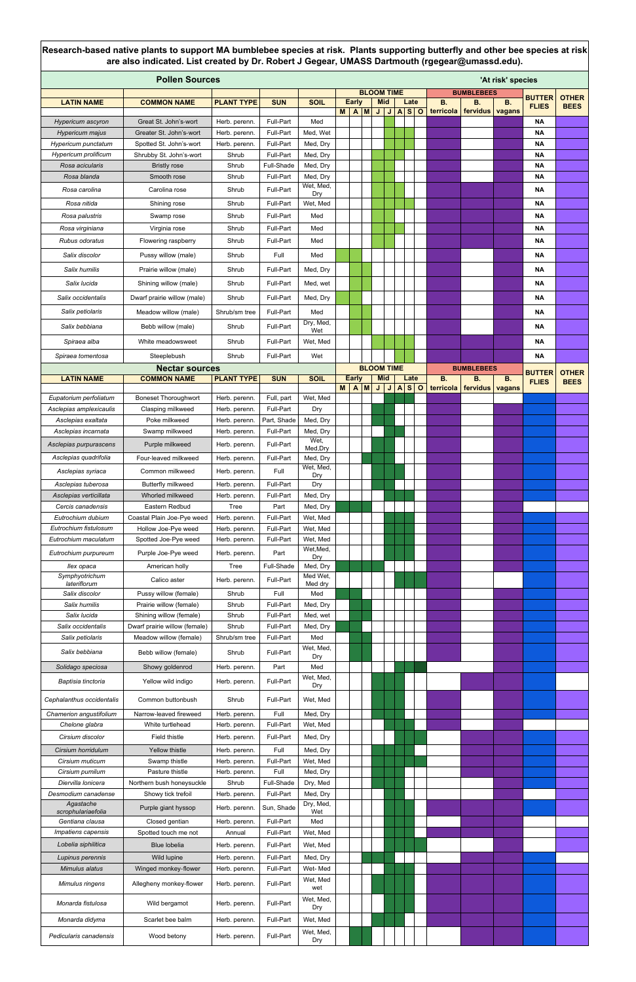| <b>Pollen Sources</b><br>'At risk' species<br><b>BLOOM TIME</b> |                                                          |                                |                          |                       |          |              |  |                                 |         |                  |                    |           |                         |               |                        |              |
|-----------------------------------------------------------------|----------------------------------------------------------|--------------------------------|--------------------------|-----------------------|----------|--------------|--|---------------------------------|---------|------------------|--------------------|-----------|-------------------------|---------------|------------------------|--------------|
| <b>LATIN NAME</b>                                               | <b>COMMON NAME</b>                                       | <b>PLANT TYPE</b>              | <b>SUN</b>               | <b>SOIL</b>           |          | <b>Early</b> |  | <b>Mid</b>                      |         |                  | Late               | <b>B.</b> | <b>BUMBLEBEES</b><br>В. | <b>B.</b>     | <b>BUTTER</b>          | <b>OTHER</b> |
|                                                                 |                                                          |                                |                          |                       | <b>M</b> | A M          |  |                                 | $J$ $J$ | $\blacktriangle$ | s <sub>o</sub>     | terricola | fervidus                | <b>vagans</b> | <b>FLIES</b>           | <b>BEES</b>  |
| Hypericum ascyron                                               | Great St. John's-wort                                    | Herb. perenn.                  | Full-Part                | Med                   |          |              |  |                                 |         |                  |                    |           |                         |               | <b>NA</b>              |              |
| Hypericum majus<br>Hypericum punctatum                          | Greater St. John's-wort<br>Spotted St. John's-wort       | Herb. perenn.<br>Herb. perenn. | Full-Part<br>Full-Part   | Med, Wet<br>Med, Dry  |          |              |  |                                 |         |                  |                    |           |                         |               | <b>NA</b><br><b>NA</b> |              |
| Hypericum prolificum                                            | Shrubby St. John's-wort                                  | Shrub                          | Full-Part                | Med, Dry              |          |              |  |                                 |         |                  |                    |           |                         |               | <b>NA</b>              |              |
| Rosa acicularis                                                 | <b>Bristly rose</b>                                      | Shrub                          | Full-Shade               | Med, Dry              |          |              |  |                                 |         |                  |                    |           |                         |               | <b>NA</b>              |              |
| Rosa blanda                                                     | Smooth rose                                              | Shrub                          | Full-Part                | Med, Dry<br>Wet, Med, |          |              |  |                                 |         |                  |                    |           |                         |               | <b>NA</b>              |              |
| Rosa carolina                                                   | Carolina rose                                            | Shrub                          | Full-Part                | Dry                   |          |              |  |                                 |         |                  |                    |           |                         |               | <b>NA</b>              |              |
| Rosa nitida                                                     | Shining rose                                             | Shrub                          | Full-Part                | Wet, Med              |          |              |  |                                 |         |                  |                    |           |                         |               | <b>NA</b>              |              |
| Rosa palustris<br>Rosa virginiana                               | Swamp rose                                               | Shrub<br>Shrub                 | Full-Part<br>Full-Part   | Med<br>Med            |          |              |  |                                 |         |                  |                    |           |                         |               | <b>NA</b>              |              |
| Rubus odoratus                                                  | Virginia rose<br>Flowering raspberry                     | Shrub                          | Full-Part                | Med                   |          |              |  |                                 |         |                  |                    |           |                         |               | <b>NA</b><br><b>NA</b> |              |
| Salix discolor                                                  | Pussy willow (male)                                      | Shrub                          | Full                     | Med                   |          |              |  |                                 |         |                  |                    |           |                         |               | <b>NA</b>              |              |
| Salix humilis                                                   | Prairie willow (male)                                    | Shrub                          | Full-Part                | Med, Dry              |          |              |  |                                 |         |                  |                    |           |                         |               | <b>NA</b>              |              |
| Salix lucida                                                    | Shining willow (male)                                    | Shrub                          | Full-Part                | Med, wet              |          |              |  |                                 |         |                  |                    |           |                         |               | <b>NA</b>              |              |
| Salix occidentalis                                              | Dwarf prairie willow (male)                              | Shrub                          | Full-Part                | Med, Dry              |          |              |  |                                 |         |                  |                    |           |                         |               | <b>NA</b>              |              |
|                                                                 |                                                          |                                | Full-Part                | Med                   |          |              |  |                                 |         |                  |                    |           |                         |               |                        |              |
| Salix petiolaris                                                | Meadow willow (male)                                     | Shrub/sm tree                  |                          | Dry, Med,             |          |              |  |                                 |         |                  |                    |           |                         |               | <b>NA</b>              |              |
| Salix bebbiana                                                  | Bebb willow (male)                                       | Shrub                          | Full-Part                | Wet                   |          |              |  |                                 |         |                  |                    |           |                         |               | <b>NA</b>              |              |
| Spiraea alba                                                    | White meadowsweet                                        | Shrub                          | Full-Part                | Wet, Med              |          |              |  |                                 |         |                  |                    |           |                         |               | <b>NA</b>              |              |
| Spiraea tomentosa                                               | Steeplebush                                              | Shrub                          | Full-Part                | Wet                   |          |              |  |                                 |         |                  |                    |           |                         |               | <b>NA</b>              |              |
| <b>LATIN NAME</b>                                               | <b>Nectar sources</b><br><b>COMMON NAME</b>              | <b>PLANT TYPE</b>              | <b>SUN</b>               | <b>SOIL</b>           |          | <b>Early</b> |  | <b>BLOOM TIME</b><br><b>Mid</b> |         |                  | Late               | <b>B.</b> | <b>BUMBLEBEES</b><br>В. | <b>B.</b>     | <b>BUTTER</b>          | <b>OTHER</b> |
|                                                                 |                                                          |                                |                          |                       | M        | A M          |  |                                 | J/J     | A                | s <br>$\mathbf{o}$ | terricola | fervidus                | <b>vagans</b> | <b>FLIES</b>           | <b>BEES</b>  |
| Eupatorium perfoliatum                                          | <b>Boneset Thoroughwort</b>                              | Herb. perenn.                  | Full, part               | Wet, Med              |          |              |  |                                 |         |                  |                    |           |                         |               |                        |              |
| Asclepias amplexicaulis<br>Asclepias exaltata                   | Clasping milkweed<br>Poke milkweed                       | Herb. perenn.<br>Herb. perenn. | Full-Part<br>Part, Shade | Dry<br>Med, Dry       |          |              |  |                                 |         |                  |                    |           |                         |               |                        |              |
| Asclepias incarnata                                             | Swamp milkweed                                           | Herb. perenn.                  | Full-Part                | Med, Dry              |          |              |  |                                 |         |                  |                    |           |                         |               |                        |              |
| Asclepias purpurascens                                          | Purple milkweed                                          | Herb. perenn.                  | Full-Part                | Wet,<br>Med, Dry      |          |              |  |                                 |         |                  |                    |           |                         |               |                        |              |
| Asclepias quadrifolia                                           | Four-leaved milkweed                                     | Herb. perenn.                  | Full-Part                | Med, Dry              |          |              |  |                                 |         |                  |                    |           |                         |               |                        |              |
| Asclepias syriaca                                               | Common milkweed                                          | Herb. perenn.                  | Full                     | Wet, Med,<br>Dry      |          |              |  |                                 |         |                  |                    |           |                         |               |                        |              |
| Asclepias tuberosa                                              | Butterfly milkweed                                       | Herb. perenn.                  | Full-Part                | Dry                   |          |              |  |                                 |         |                  |                    |           |                         |               |                        |              |
| Asclepias verticillata                                          | Whorled milkweed                                         | Herb. perenn.                  | Full-Part                | Med, Dry              |          |              |  |                                 |         |                  |                    |           |                         |               |                        |              |
| Cercis canadensis<br>Eutrochium dubium                          | Eastern Redbud<br>Coastal Plain Joe-Pye weed             | Tree<br>Herb. perenn.          | Part<br>Full-Part        | Med, Dry<br>Wet, Med  |          |              |  |                                 |         |                  |                    |           |                         |               |                        |              |
| Eutrochium fistulosum                                           | Hollow Joe-Pye weed                                      | Herb. perenn.                  | Full-Part                | Wet, Med              |          |              |  |                                 |         |                  |                    |           |                         |               |                        |              |
| Eutrochium maculatum                                            | Spotted Joe-Pye weed                                     | Herb. perenn.                  | Full-Part                | Wet, Med              |          |              |  |                                 |         |                  |                    |           |                         |               |                        |              |
| Eutrochium purpureum                                            | Purple Joe-Pye weed                                      | Herb. perenn.                  | Part                     | Wet, Med,<br>Dry      |          |              |  |                                 |         |                  |                    |           |                         |               |                        |              |
| llex opaca                                                      | American holly                                           | Tree                           | Full-Shade               | Med, Dry              |          |              |  |                                 |         |                  |                    |           |                         |               |                        |              |
| Symphyotrichum<br>lateriflorum                                  | Calico aster                                             | Herb. perenn.                  | Full-Part                | Med Wet,<br>Med dry   |          |              |  |                                 |         |                  |                    |           |                         |               |                        |              |
| Salix discolor                                                  | Pussy willow (female)                                    | Shrub                          | Full                     | Med                   |          |              |  |                                 |         |                  |                    |           |                         |               |                        |              |
| Salix humilis                                                   | Prairie willow (female)                                  | Shrub                          | Full-Part                | Med, Dry              |          |              |  |                                 |         |                  |                    |           |                         |               |                        |              |
| Salix lucida<br>Salix occidentalis                              | Shining willow (female)<br>Dwarf prairie willow (female) | Shrub<br>Shrub                 | Full-Part<br>Full-Part   | Med, wet<br>Med, Dry  |          |              |  |                                 |         |                  |                    |           |                         |               |                        |              |
| Salix petiolaris                                                | Meadow willow (female)                                   | Shrub/sm tree                  | Full-Part                | Med                   |          |              |  |                                 |         |                  |                    |           |                         |               |                        |              |
| Salix bebbiana                                                  | Bebb willow (female)                                     | Shrub                          | Full-Part                | Wet, Med,             |          |              |  |                                 |         |                  |                    |           |                         |               |                        |              |
| Solidago speciosa                                               | Showy goldenrod                                          | Herb. perenn.                  | Part                     | Dry<br>Med            |          |              |  |                                 |         |                  |                    |           |                         |               |                        |              |
| Baptisia tinctoria                                              | Yellow wild indigo                                       | Herb. perenn.                  | Full-Part                | Wet, Med,             |          |              |  |                                 |         |                  |                    |           |                         |               |                        |              |
|                                                                 |                                                          |                                |                          | Dry                   |          |              |  |                                 |         |                  |                    |           |                         |               |                        |              |
| Cephalanthus occidentalis                                       | Common buttonbush                                        | Shrub                          | Full-Part                | Wet, Med              |          |              |  |                                 |         |                  |                    |           |                         |               |                        |              |
| Chamerion angustifolium<br>Chelone glabra                       | Narrow-leaved fireweed<br>White turtlehead               | Herb. perenn.<br>Herb. perenn. | Full<br>Full-Part        | Med, Dry<br>Wet, Med  |          |              |  |                                 |         |                  |                    |           |                         |               |                        |              |
| Cirsium discolor                                                | Field thistle                                            | Herb. perenn.                  | Full-Part                | Med, Dry              |          |              |  |                                 |         |                  |                    |           |                         |               |                        |              |
| Cirsium horridulum                                              | Yellow thistle                                           | Herb. perenn.                  | Full                     | Med, Dry              |          |              |  |                                 |         |                  |                    |           |                         |               |                        |              |
| Cirsium muticum                                                 | Swamp thistle                                            | Herb. perenn.                  | Full-Part                | Wet, Med              |          |              |  |                                 |         |                  |                    |           |                         |               |                        |              |
| Cirsium pumilum                                                 | Pasture thistle                                          | Herb. perenn.                  | Full                     | Med, Dry              |          |              |  |                                 |         |                  |                    |           |                         |               |                        |              |
| Diervilla Ionicera<br>Desmodium canadense                       | Northern bush honeysuckle<br>Showy tick trefoil          | Shrub<br>Herb. perenn.         | Full-Shade<br>Full-Part  | Dry, Med<br>Med, Dry  |          |              |  |                                 |         |                  |                    |           |                         |               |                        |              |
| Agastache                                                       | Purple giant hyssop                                      | Herb. perenn.                  | Sun, Shade               | Dry, Med,             |          |              |  |                                 |         |                  |                    |           |                         |               |                        |              |
| scrophulariaefolia<br>Gentiana clausa                           | Closed gentian                                           | Herb. perenn.                  | Full-Part                | Wet<br>Med            |          |              |  |                                 |         |                  |                    |           |                         |               |                        |              |
| Impatiens capensis                                              | Spotted touch me not                                     | Annual                         | Full-Part                | Wet, Med              |          |              |  |                                 |         |                  |                    |           |                         |               |                        |              |
| Lobelia siphilitica                                             | Blue lobelia                                             | Herb. perenn.                  | Full-Part                | Wet, Med              |          |              |  |                                 |         |                  |                    |           |                         |               |                        |              |
| Lupinus perennis                                                | Wild lupine                                              | Herb. perenn.                  | Full-Part                | Med, Dry              |          |              |  |                                 |         |                  |                    |           |                         |               |                        |              |
| Mimulus alatus                                                  | Winged monkey-flower                                     | Herb. perenn.                  | Full-Part                | Wet-Med               |          |              |  |                                 |         |                  |                    |           |                         |               |                        |              |
| Mimulus ringens                                                 | Allegheny monkey-flower                                  | Herb. perenn.                  | Full-Part                | Wet, Med<br>wet       |          |              |  |                                 |         |                  |                    |           |                         |               |                        |              |
| Monarda fistulosa                                               | Wild bergamot                                            | Herb. perenn.                  | Full-Part                | Wet, Med,<br>Dry      |          |              |  |                                 |         |                  |                    |           |                         |               |                        |              |
| Monarda didyma                                                  | Scarlet bee balm                                         | Herb. perenn.                  | Full-Part                | Wet, Med              |          |              |  |                                 |         |                  |                    |           |                         |               |                        |              |
| Pedicularis canadensis                                          | Wood betony                                              | Herb. perenn.                  | Full-Part                | Wet, Med,<br>Dry      |          |              |  |                                 |         |                  |                    |           |                         |               |                        |              |

**Research-based native plants to support MA bumblebee species at risk. Plants supporting butterfly and other bee species at risk are also indicated. List created by Dr. Robert J Gegear, UMASS Dartmouth (rgegear@umassd.edu).**